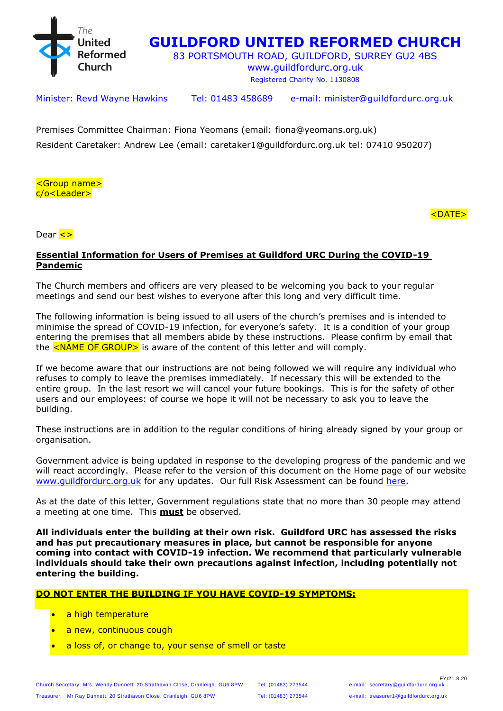

# **GUILDFORD UNITED REFORMED CHURCH**

83 PORTSMOUTH ROAD, GUILDFORD, SURREY GU2 4BS

www.guildfordurc.org.uk Registered Charity No. 1130808

Minister: Revd Wayne Hawkins Tel: 01483 458689 e-mail: [minister@guildfordurc.org.uk](mailto:minister@guildfordurc.org.uk)

Premises Committee Chairman: Fiona Yeomans (email: fiona@yeomans.org.uk) Resident Caretaker: Andrew Lee (email: caretaker1@guildfordurc.org.uk tel: 07410 950207)

<Group name> c/o<Leader>

<DATE>

Dear <>

#### **Essential Information for Users of Premises at Guildford URC During the COVID-19 Pandemic**

The Church members and officers are very pleased to be welcoming you back to your regular meetings and send our best wishes to everyone after this long and very difficult time.

The following information is being issued to all users of the church's premises and is intended to minimise the spread of COVID-19 infection, for everyone's safety. It is a condition of your group entering the premises that all members abide by these instructions. Please confirm by email that the  $\leq$ NAME OF GROUP> is aware of the content of this letter and will comply.

If we become aware that our instructions are not being followed we will require any individual who refuses to comply to leave the premises immediately. If necessary this will be extended to the entire group. In the last resort we will cancel your future bookings. This is for the safety of other users and our employees: of course we hope it will not be necessary to ask you to leave the building.

These instructions are in addition to the regular conditions of hiring already signed by your group or organisation.

Government advice is being updated in response to the developing progress of the pandemic and we will react accordingly. Please refer to the version of this document on the Home page of our website www.quildfordurc.org.uk for any updates. Our full Risk Assessment can be found [here.](http://www.guildfordurc.org.uk/policy-documents/?LMCL=N2XjpN)

As at the date of this letter, Government regulations state that no more than 30 people may attend a meeting at one time. This **must** be observed.

**All individuals enter the building at their own risk. Guildford URC has assessed the risks and has put precautionary measures in place, but cannot be responsible for anyone coming into contact with COVID-19 infection. We recommend that particularly vulnerable individuals should take their own precautions against infection, including potentially not entering the building.**

#### **DO NOT ENTER THE BUILDING IF YOU HAVE COVID-19 SYMPTOMS:**

- a high temperature
- a new, continuous cough
- a loss of, or change to, your sense of smell or taste

Church Secretary: Mrs. Wendy Dunnett. 20 Strathavon Close, Cranleigh. GU6 8PW Tel: (01483) 273544 Treasurer: Mr Ray Dunnett, 20 Strathavon Close, Cranleigh, GU6 8PW Tel: (01483) 273544 e-mail: treasurer1@guildfordurc.org.uk